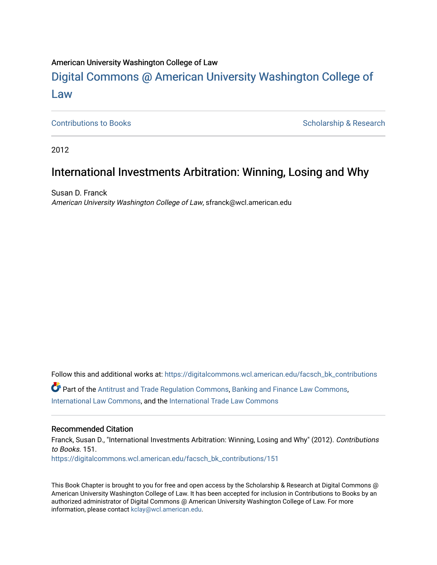#### American University Washington College of Law

# [Digital Commons @ American University Washington College of](https://digitalcommons.wcl.american.edu/)  [Law](https://digitalcommons.wcl.american.edu/)

[Contributions to Books](https://digitalcommons.wcl.american.edu/facsch_bk_contributions) **Scholarship & Research** Scholarship & Research

2012

## International Investments Arbitration: Winning, Losing and Why

Susan D. Franck American University Washington College of Law, sfranck@wcl.american.edu

Follow this and additional works at: [https://digitalcommons.wcl.american.edu/facsch\\_bk\\_contributions](https://digitalcommons.wcl.american.edu/facsch_bk_contributions?utm_source=digitalcommons.wcl.american.edu%2Ffacsch_bk_contributions%2F151&utm_medium=PDF&utm_campaign=PDFCoverPages)  Part of the [Antitrust and Trade Regulation Commons,](http://network.bepress.com/hgg/discipline/911?utm_source=digitalcommons.wcl.american.edu%2Ffacsch_bk_contributions%2F151&utm_medium=PDF&utm_campaign=PDFCoverPages) [Banking and Finance Law Commons,](http://network.bepress.com/hgg/discipline/833?utm_source=digitalcommons.wcl.american.edu%2Ffacsch_bk_contributions%2F151&utm_medium=PDF&utm_campaign=PDFCoverPages) [International Law Commons](http://network.bepress.com/hgg/discipline/609?utm_source=digitalcommons.wcl.american.edu%2Ffacsch_bk_contributions%2F151&utm_medium=PDF&utm_campaign=PDFCoverPages), and the [International Trade Law Commons](http://network.bepress.com/hgg/discipline/848?utm_source=digitalcommons.wcl.american.edu%2Ffacsch_bk_contributions%2F151&utm_medium=PDF&utm_campaign=PDFCoverPages)

#### Recommended Citation

Franck, Susan D., "International Investments Arbitration: Winning, Losing and Why" (2012). Contributions to Books. 151. [https://digitalcommons.wcl.american.edu/facsch\\_bk\\_contributions/151](https://digitalcommons.wcl.american.edu/facsch_bk_contributions/151?utm_source=digitalcommons.wcl.american.edu%2Ffacsch_bk_contributions%2F151&utm_medium=PDF&utm_campaign=PDFCoverPages) 

This Book Chapter is brought to you for free and open access by the Scholarship & Research at Digital Commons @ American University Washington College of Law. It has been accepted for inclusion in Contributions to Books by an authorized administrator of Digital Commons @ American University Washington College of Law. For more information, please contact [kclay@wcl.american.edu.](mailto:kclay@wcl.american.edu)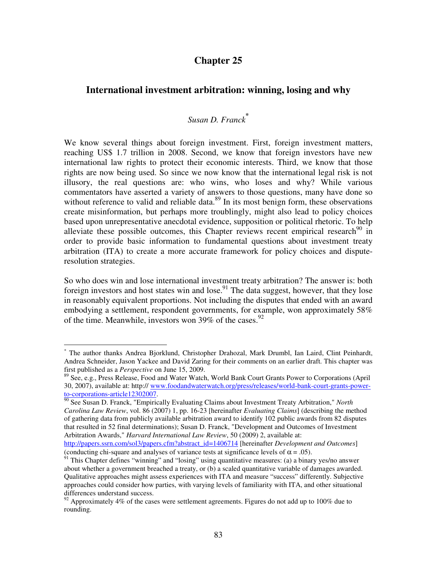## **Chapter 25**

### **International investment arbitration: winning, losing and why**

## *Susan D. Franck***\***

We know several things about foreign investment. First, foreign investment matters, reaching US\$ 1.7 trillion in 2008. Second, we know that foreign investors have new international law rights to protect their economic interests. Third, we know that those rights are now being used. So since we now know that the international legal risk is not illusory, the real questions are: who wins, who loses and why? While various commentators have asserted a variety of answers to those questions, many have done so without reference to valid and reliable data.<sup>89</sup> In its most benign form, these observations create misinformation, but perhaps more troublingly, might also lead to policy choices based upon unrepresentative anecdotal evidence, supposition or political rhetoric. To help alleviate these possible outcomes, this Chapter reviews recent empirical research<sup>90</sup> in order to provide basic information to fundamental questions about investment treaty arbitration (ITA) to create a more accurate framework for policy choices and disputeresolution strategies.

So who does win and lose international investment treaty arbitration? The answer is: both foreign investors and host states win and lose.<sup>91</sup> The data suggest, however, that they lose in reasonably equivalent proportions. Not including the disputes that ended with an award embodying a settlement, respondent governments, for example, won approximately 58% of the time. Meanwhile, investors won 39% of the cases.<sup>92</sup>

 $\overline{a}$ 

<sup>\*</sup> The author thanks Andrea Bjorklund, Christopher Drahozal, Mark Drumbl, Ian Laird, Clint Peinhardt, Andrea Schneider, Jason Yackee and David Zaring for their comments on an earlier draft. This chapter was first published as a *Perspective* on June 15, 2009.

<sup>89</sup> See, e.g., Press Release, Food and Water Watch, World Bank Court Grants Power to Corporations (April 30, 2007), available at: http:// www.foodandwaterwatch.org/press/releases/world-bank-court-grants-powerto-corporations-article12302007.

<sup>90</sup> See Susan D. Franck, "Empirically Evaluating Claims about Investment Treaty Arbitration," *North Carolina Law Review*, vol. 86 (2007) 1, pp. 16-23 [hereinafter *Evaluating Claims*] (describing the method of gathering data from publicly available arbitration award to identify 102 public awards from 82 disputes that resulted in 52 final determinations); Susan D. Franck, "Development and Outcomes of Investment Arbitration Awards," *Harvard International Law Review*, 50 (2009) 2, available at:

http://papers.ssrn.com/sol3/papers.cfm?abstract\_id=1406714 [hereinafter *Development and Outcomes*] (conducting chi-square and analyses of variance tests at significance levels of  $\alpha = .05$ ).

<sup>&</sup>lt;sup>91</sup> This Chapter defines "winning" and "losing" using quantitative measures: (a) a binary yes/no answer about whether a government breached a treaty, or (b) a scaled quantitative variable of damages awarded. Qualitative approaches might assess experiences with ITA and measure "success" differently. Subjective approaches could consider how parties, with varying levels of familiarity with ITA, and other situational differences understand success.

 $92$  Approximately 4% of the cases were settlement agreements. Figures do not add up to 100% due to rounding.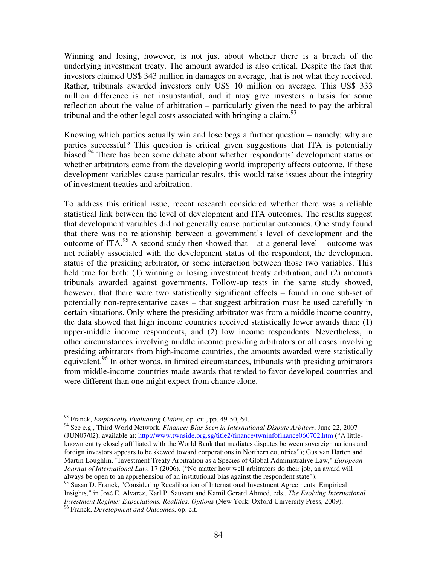Winning and losing, however, is not just about whether there is a breach of the underlying investment treaty. The amount awarded is also critical. Despite the fact that investors claimed US\$ 343 million in damages on average, that is not what they received. Rather, tribunals awarded investors only US\$ 10 million on average. This US\$ 333 million difference is not insubstantial, and it may give investors a basis for some reflection about the value of arbitration – particularly given the need to pay the arbitral tribunal and the other legal costs associated with bringing a claim. $^{93}$ 

Knowing which parties actually win and lose begs a further question – namely: why are parties successful? This question is critical given suggestions that ITA is potentially biased.<sup>94</sup> There has been some debate about whether respondents' development status or whether arbitrators come from the developing world improperly affects outcome. If these development variables cause particular results, this would raise issues about the integrity of investment treaties and arbitration.

To address this critical issue, recent research considered whether there was a reliable statistical link between the level of development and ITA outcomes. The results suggest that development variables did not generally cause particular outcomes. One study found that there was no relationship between a government's level of development and the outcome of ITA.<sup>95</sup> A second study then showed that – at a general level – outcome was not reliably associated with the development status of the respondent, the development status of the presiding arbitrator, or some interaction between those two variables. This held true for both: (1) winning or losing investment treaty arbitration, and (2) amounts tribunals awarded against governments. Follow-up tests in the same study showed, however, that there were two statistically significant effects – found in one sub-set of potentially non-representative cases – that suggest arbitration must be used carefully in certain situations. Only where the presiding arbitrator was from a middle income country, the data showed that high income countries received statistically lower awards than: (1) upper-middle income respondents, and (2) low income respondents. Nevertheless, in other circumstances involving middle income presiding arbitrators or all cases involving presiding arbitrators from high-income countries, the amounts awarded were statistically equivalent.<sup>96</sup> In other words, in limited circumstances, tribunals with presiding arbitrators from middle-income countries made awards that tended to favor developed countries and were different than one might expect from chance alone.

 $\overline{a}$ 

<sup>93</sup> Franck, *Empirically Evaluating Claims*, op. cit., pp. 49-50, 64.

<sup>94</sup> See e.g., Third World Network, *Finance: Bias Seen in International Dispute Arbiters*, June 22, 2007 (JUN07/02), available at: http://www.twnside.org.sg/title2/finance/twninfofinance060702.htm ("A littleknown entity closely affiliated with the World Bank that mediates disputes between sovereign nations and foreign investors appears to be skewed toward corporations in Northern countries"); Gus van Harten and Martin Loughlin, "Investment Treaty Arbitration as a Species of Global Administrative Law," *European Journal of International Law*, 17 (2006). ("No matter how well arbitrators do their job, an award will always be open to an apprehension of an institutional bias against the respondent state").

<sup>&</sup>lt;sup>95</sup> Susan D. Franck, "Considering Recalibration of International Investment Agreements: Empirical Insights," in José E. Alvarez, Karl P. Sauvant and Kamil Gerard Ahmed, eds., *The Evolving International Investment Regime: Expectations, Realities, Options* (New York: Oxford University Press, 2009). <sup>96</sup> Franck, *Development and Outcomes*, op. cit.